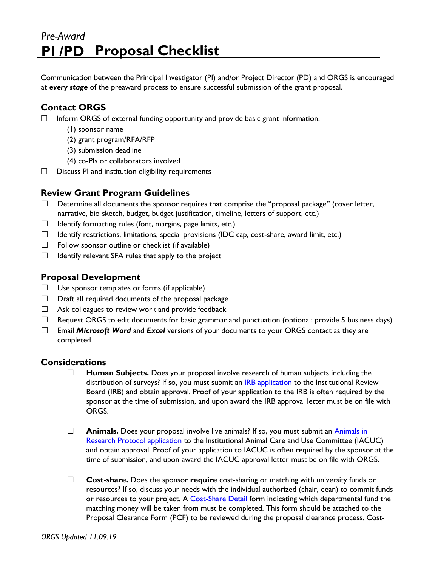# *Pre-Award* **PI /PD Proposal Checklist**

Communication between the Principal Investigator (PI) and/or Project Director (PD) and ORGS is encouraged at *every stage* of the preaward process to ensure successful submission of the grant proposal.

# **Contact ORGS**

- $\Box$  Inform ORGS of external funding opportunity and provide basic grant information:
	- (1) sponsor name
	- (2) grant program/RFA/RFP
	- (3) submission deadline
	- (4) co-PIs or collaborators involved
- $\Box$  Discuss PI and institution eligibility requirements

## **Review Grant Program Guidelines**

- $\Box$  Determine all documents the sponsor requires that comprise the "proposal package" (cover letter, narrative, bio sketch, budget, budget justification, timeline, letters of support, etc.)
- $\Box$  Identify formatting rules (font, margins, page limits, etc.)
- $\Box$  Identify restrictions, limitations, special provisions (IDC cap, cost-share, award limit, etc.)
- $\Box$  Follow sponsor outline or checklist (if available)
- $\Box$  Identify relevant SFA rules that apply to the project

#### **Proposal Development**

- $\Box$  Use sponsor templates or forms (if applicable)
- $\Box$  Draft all required documents of the proposal package
- $\Box$  Ask colleagues to review work and provide feedback
- $\Box$  Request ORGS to edit documents for basic grammar and punctuation (optional: provide 5 business days)
- Email *Microsoft Word* and *Excel* versions of your documents to your ORGS contact as they are completed

#### **Considerations**

- **Human Subjects.** Does your proposal involve research of human subjects including the distributio[n](http://www2.sfasu.edu/orsp/forms.html) of surveys? If so, you must submit an IRB application to the Institutional Review Board (IRB) and obtain approval. Proof of your application to the IRB is often required by the sponsor at the time of submission, and upon award the IRB approval letter must be on file with ORGS.
- $\Box$  **A[n](http://www2.sfasu.edu/orsp/Forms/animal_use.pdf)imals.** Does your proposal involve live animals? If so, you must submit an Animals in Research [Protocol application](http://www2.sfasu.edu/orsp/Forms/animal_use.pdf) [t](http://www2.sfasu.edu/orsp/Forms/animal_use.pdf)o the Institutional Animal Care and Use Committee (IACUC) and obtain approval. Proof of your application to IACUC is often required by the sponsor at the time of submission, and upon award the IACUC approval letter must be on file with ORGS.
- **Cost-share.** Does the sponsor **require** cost-sharing or matching with university funds or resources? If so, discuss your needs with the individual authorized (chair, dean) to commit funds or resources to your project. [A](http://www2.sfasu.edu/orsp/forms.html) [Cost-S](http://www2.sfasu.edu/orsp/forms.html)hare Deta[il](http://www2.sfasu.edu/orsp/forms.html) form indicating which departmental fund the matching money will be taken from must be completed. This form should be attached to the Proposal Clearance Form (PCF) to be reviewed during the proposal clearance process. Cost-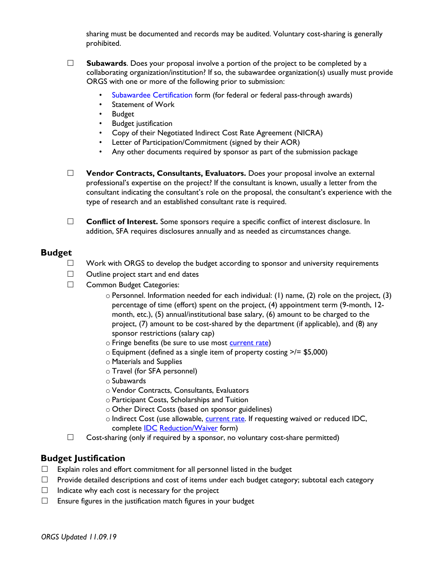sharing must be documented and records may be audited. Voluntary cost-sharing is generally prohibited.

- **Subawards**. Does your proposal involve a portion of the project to be completed by a collaborating organization/institution? If so, the subawardee organization(s) usually must provide ORGS with one or more of the following prior to submission:
	- Subawardee Certification [f](http://www2.sfasu.edu/orsp/Forms/Subawardee.pdf)orm (for federal or federal pass-through awards)
	- Statement of Work
	- Budget
	- Budget justification
	- Copy of their Negotiated Indirect Cost Rate Agreement (NICRA)
	- Letter of Participation/Commitment (signed by their AOR)
	- Any other documents required by sponsor as part of the submission package
- **Vendor Contracts, Consultants, Evaluators.** Does your proposal involve an external professional's expertise on the project? If the consultant is known, usually a letter from the consultant indicating the consultant's role on the proposal, the consultant's experience with the type of research and an established consultant rate is required.
- □ **Conflict of Interest.** Some sponsors require a specific conflict of interest disclosure. In addition, SFA requires disclosures annually and as needed as circumstances change.

#### **Budget**

- $\Box$  Work with ORGS to develop the budget according to sponsor and university requirements
- $\Box$  Outline project start and end dates
- □ Common Budget Categories:
	- o Personnel. Information needed for each individual: (1) name, (2) role on the project, (3) percentage of time (effort) spent on the project, (4) appointment term (9-month, 12 month, etc.), (5) annual/institutional base salary, (6) amount to be charged to the project, (7) amount to be cost-shared by the department (if applicable), and (8) any sponsor restrictions (salary cap)
	- o Fringe benefits (be sure to use most [current rate\)](http://www2.sfasu.edu/orsp/tam.html#fringe)
	- $\circ$  Equipment (defined as a single item of property costing  $\ge$ /= \$5,000)
	- o Materials and Supplies
	- o Travel (for SFA personnel)
	- o Subawards
	- o Vendor Contracts, Consultants, Evaluators
	- o Participant Costs, Scholarships and Tuition
	- o Other Direct Costs (based on sponsor guidelines)
	- o Indirect Cost (use allowable, [current rate.](http://www2.sfasu.edu/orsp/tam.html#indirect) If requesting waived or reduced IDC, complete **IDC** [Reduction/Waiver](http://www2.sfasu.edu/orsp/Forms/IDC_waiver_request.pdf) form)
- $\Box$  Cost-sharing (only if required by a sponsor, no voluntary cost-share permitted)

#### **Budget Justification**

- $\Box$  Explain roles and effort commitment for all personnel listed in the budget
- $\Box$  Provide detailed descriptions and cost of items under each budget category; subtotal each category
- $\Box$  Indicate why each cost is necessary for the project
- $\Box$  Ensure figures in the justification match figures in your budget